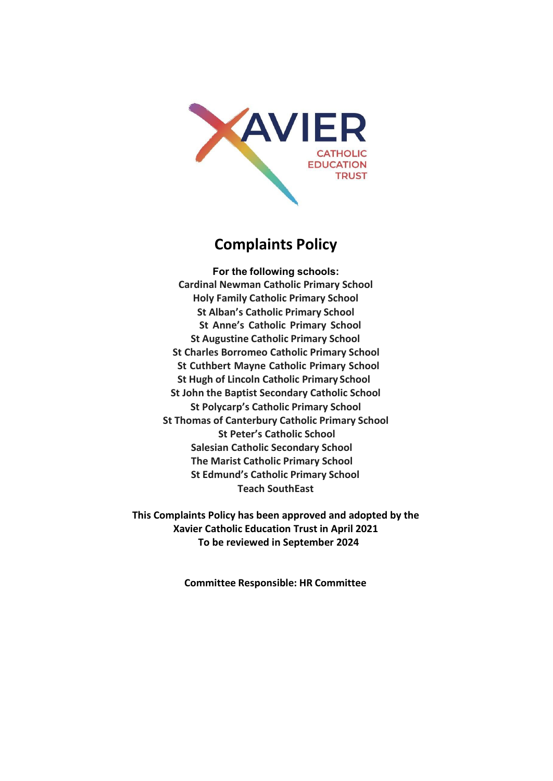

# **Complaints Policy**

**For the following schools: Cardinal Newman Catholic Primary School Holy Family Catholic Primary School St Alban's Catholic Primary School St Anne's Catholic Primary School St Augustine Catholic Primary School St Charles Borromeo Catholic Primary School St Cuthbert Mayne Catholic Primary School St Hugh of Lincoln Catholic Primary School St John the Baptist Secondary Catholic School St Polycarp's Catholic Primary School St Thomas of Canterbury Catholic Primary School St Peter's Catholic School Salesian Catholic Secondary School The Marist Catholic Primary School St Edmund's Catholic Primary School Teach SouthEast**

**This Complaints Policy has been approved and adopted by the Xavier Catholic Education Trust in April 2021 To be reviewed in September 2024**

**Committee Responsible: HR Committee**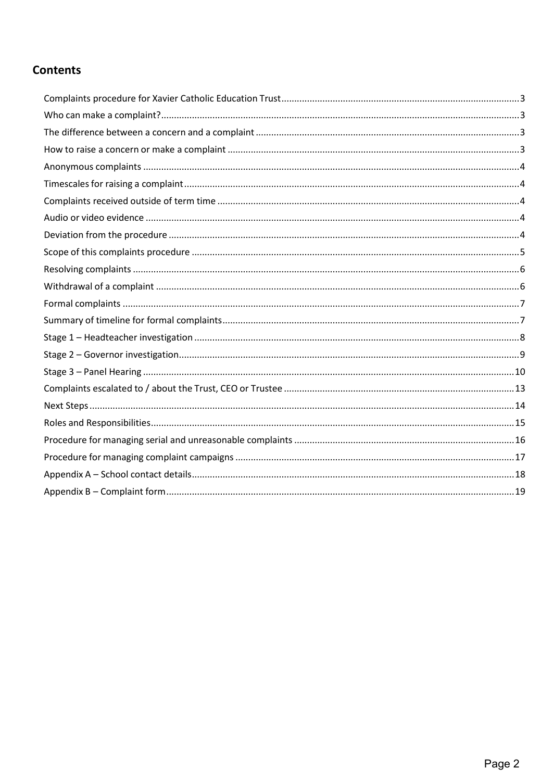## **Contents**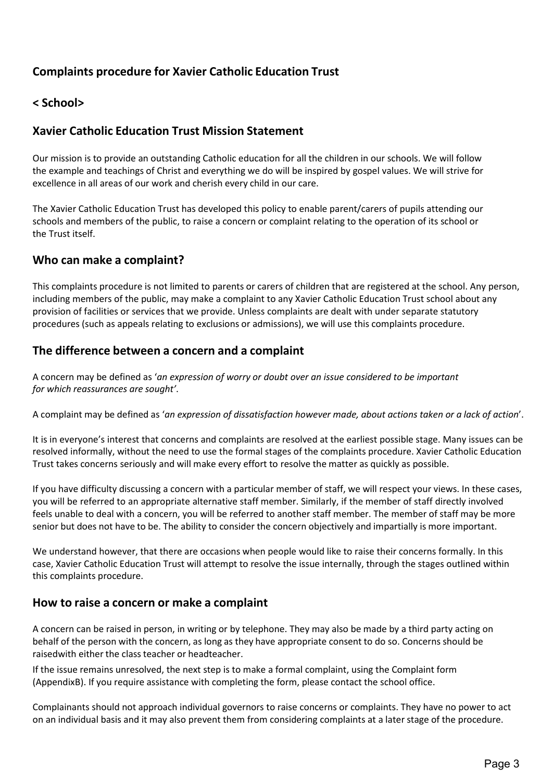## <span id="page-2-0"></span>**Complaints procedure for Xavier Catholic Education Trust**

## **< School>**

## **Xavier Catholic Education Trust Mission Statement**

Our mission is to provide an outstanding Catholic education for all the children in our schools. We will follow the example and teachings of Christ and everything we do will be inspired by gospel values. We will strive for excellence in all areas of our work and cherish every child in our care.

The Xavier Catholic Education Trust has developed this policy to enable parent/carers of pupils attending our schools and members of the public, to raise a concern or complaint relating to the operation of its school or the Trust itself.

#### <span id="page-2-1"></span>**Who can make a complaint?**

This complaints procedure is not limited to parents or carers of children that are registered at the school. Any person, including members of the public, may make a complaint to any Xavier Catholic Education Trust school about any provision of facilities or services that we provide. Unless complaints are dealt with under separate statutory procedures (such as appeals relating to exclusions or admissions), we will use this complaints procedure.

### <span id="page-2-2"></span>**The difference between a concern and a complaint**

A concern may be defined as '*an expression of worry or doubt over an issue considered to be important for which reassurances are sought'*.

A complaint may be defined as '*an expression of dissatisfaction however made, about actions taken or a lack of action*'.

It is in everyone's interest that concerns and complaints are resolved at the earliest possible stage. Many issues can be resolved informally, without the need to use the formal stages of the complaints procedure. Xavier Catholic Education Trust takes concerns seriously and will make every effort to resolve the matter as quickly as possible.

If you have difficulty discussing a concern with a particular member of staff, we will respect your views. In these cases, you will be referred to an appropriate alternative staff member. Similarly, if the member of staff directly involved feels unable to deal with a concern, you will be referred to another staff member. The member of staff may be more senior but does not have to be. The ability to consider the concern objectively and impartially is more important.

We understand however, that there are occasions when people would like to raise their concerns formally. In this case, Xavier Catholic Education Trust will attempt to resolve the issue internally, through the stages outlined within this complaints procedure.

#### <span id="page-2-3"></span>**How to raise a concern or make a complaint**

A concern can be raised in person, in writing or by telephone. They may also be made by a third party acting on behalf of the person with the concern, as long as they have appropriate consent to do so. Concerns should be raisedwith either the class teacher or headteacher.

If the issue remains unresolved, the next step is to make a formal complaint, using the Complaint form (AppendixB). If you require assistance with completing the form, please contact the school office.

Complainants should not approach individual governors to raise concerns or complaints. They have no power to act on an individual basis and it may also prevent them from considering complaints at a later stage of the procedure.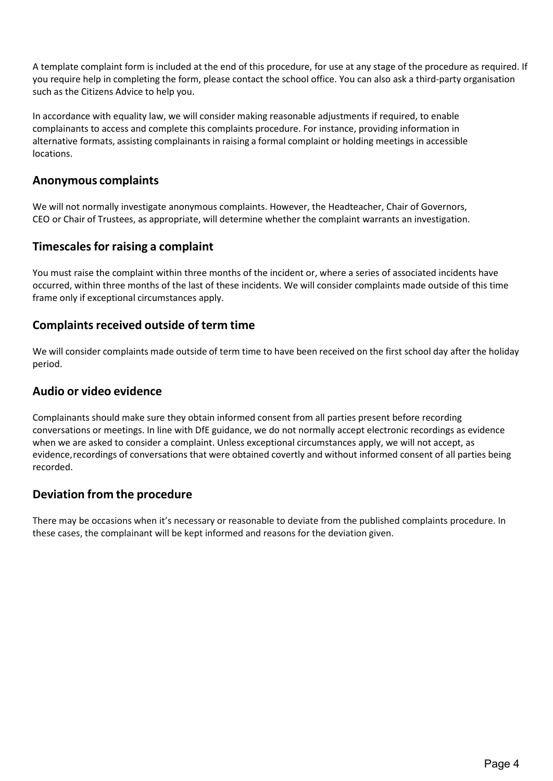A template complaint form is included at the end of this procedure, for use at any stage of the procedure as required. If you require help in completing the form, please contact the school office. You can also ask a third-party organisation such as the Citizens Advice to help you.

In accordance with equality law, we will consider making reasonable adjustments if required, to enable complainants to access and complete this complaints procedure. For instance, providing information in alternative formats, assisting complainants in raising a formal complaint or holding meetings in accessible locations.

#### <span id="page-3-0"></span>**Anonymous complaints**

We will not normally investigate anonymous complaints. However, the Headteacher, Chair of Governors, CEO or Chair of Trustees, as appropriate, will determine whether the complaint warrants an investigation.

### <span id="page-3-1"></span>**Timescales for raising a complaint**

You must raise the complaint within three months of the incident or, where a series of associated incidents have occurred, within three months of the last of these incidents. We will consider complaints made outside of this time frame only if exceptional circumstances apply.

### <span id="page-3-2"></span>**Complaints received outside of term time**

We will consider complaints made outside of term time to have been received on the first school day after the holiday period.

#### <span id="page-3-3"></span>**Audio or video evidence**

Complainants should make sure they obtain informed consent from all parties present before recording conversations or meetings. In line with DfE guidance, we do not normally accept electronic recordings as evidence when we are asked to consider a complaint. Unless exceptional circumstances apply, we will not accept, as evidence, recordings of conversations that were obtained covertly and without informed consent of all parties being recorded.

### <span id="page-3-4"></span>**Deviation from the procedure**

There may be occasions when it's necessary or reasonable to deviate from the published complaints procedure. In these cases, the complainant will be kept informed and reasons for the deviation given.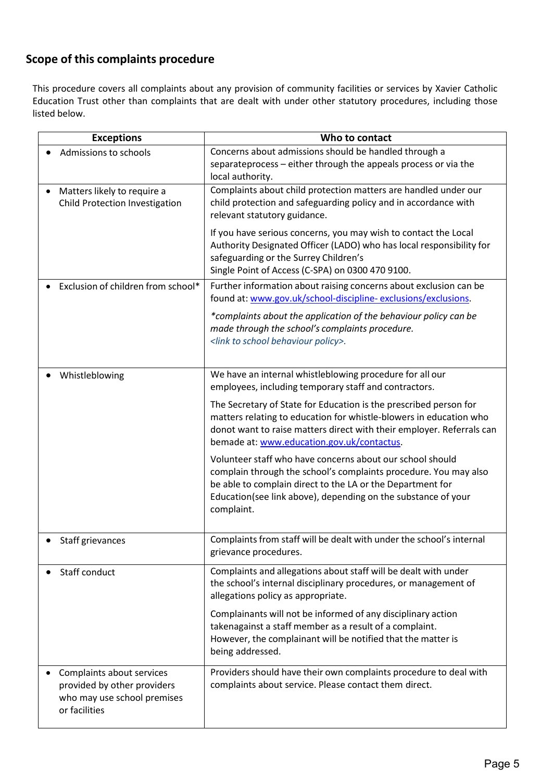## <span id="page-4-0"></span>**Scope of this complaints procedure**

This procedure covers all complaints about any provision of community facilities or services by Xavier Catholic Education Trust other than complaints that are dealt with under other statutory procedures, including those listed below.

| <b>Exceptions</b>                                                                                        | Who to contact                                                                                                                                                                                                                                                             |
|----------------------------------------------------------------------------------------------------------|----------------------------------------------------------------------------------------------------------------------------------------------------------------------------------------------------------------------------------------------------------------------------|
| Admissions to schools                                                                                    | Concerns about admissions should be handled through a<br>separateprocess - either through the appeals process or via the<br>local authority.                                                                                                                               |
| Matters likely to require a<br>Child Protection Investigation                                            | Complaints about child protection matters are handled under our<br>child protection and safeguarding policy and in accordance with<br>relevant statutory guidance.                                                                                                         |
|                                                                                                          | If you have serious concerns, you may wish to contact the Local<br>Authority Designated Officer (LADO) who has local responsibility for<br>safeguarding or the Surrey Children's<br>Single Point of Access (C-SPA) on 0300 470 9100.                                       |
| Exclusion of children from school*                                                                       | Further information about raising concerns about exclusion can be<br>found at: www.gov.uk/school-discipline-exclusions/exclusions.                                                                                                                                         |
|                                                                                                          | *complaints about the application of the behaviour policy can be<br>made through the school's complaints procedure.<br><link behaviour="" policy="" school="" to=""/> .                                                                                                    |
| Whistleblowing                                                                                           | We have an internal whistleblowing procedure for all our<br>employees, including temporary staff and contractors.                                                                                                                                                          |
|                                                                                                          | The Secretary of State for Education is the prescribed person for<br>matters relating to education for whistle-blowers in education who<br>donot want to raise matters direct with their employer. Referrals can<br>bemade at: www.education.gov.uk/contactus.             |
|                                                                                                          | Volunteer staff who have concerns about our school should<br>complain through the school's complaints procedure. You may also<br>be able to complain direct to the LA or the Department for<br>Education(see link above), depending on the substance of your<br>complaint. |
| Staff grievances                                                                                         | Complaints from staff will be dealt with under the school's internal<br>grievance procedures.                                                                                                                                                                              |
| Staff conduct                                                                                            | Complaints and allegations about staff will be dealt with under<br>the school's internal disciplinary procedures, or management of<br>allegations policy as appropriate.                                                                                                   |
|                                                                                                          | Complainants will not be informed of any disciplinary action<br>takenagainst a staff member as a result of a complaint.<br>However, the complainant will be notified that the matter is<br>being addressed.                                                                |
| Complaints about services<br>provided by other providers<br>who may use school premises<br>or facilities | Providers should have their own complaints procedure to deal with<br>complaints about service. Please contact them direct.                                                                                                                                                 |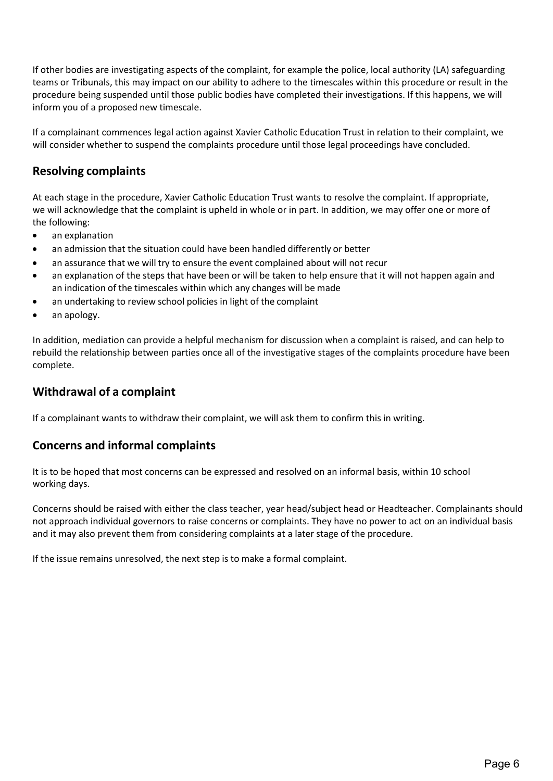If other bodies are investigating aspects of the complaint, for example the police, local authority (LA) safeguarding teams or Tribunals, this may impact on our ability to adhere to the timescales within this procedure or result in the procedure being suspended until those public bodies have completed their investigations. If this happens, we will inform you of a proposed new timescale.

If a complainant commences legal action against Xavier Catholic Education Trust in relation to their complaint, we will consider whether to suspend the complaints procedure until those legal proceedings have concluded.

## <span id="page-5-0"></span>**Resolving complaints**

At each stage in the procedure, Xavier Catholic Education Trust wants to resolve the complaint. If appropriate, we will acknowledge that the complaint is upheld in whole or in part. In addition, we may offer one or more of the following:

- an explanation
- an admission that the situation could have been handled differently or better
- an assurance that we will try to ensure the event complained about will not recur
- an explanation of the steps that have been or will be taken to help ensure that it will not happen again and an indication of the timescales within which any changes will be made
- an undertaking to review school policies in light of the complaint
- an apology.

In addition, mediation can provide a helpful mechanism for discussion when a complaint is raised, and can help to rebuild the relationship between parties once all of the investigative stages of the complaints procedure have been complete.

### <span id="page-5-1"></span>**Withdrawal of a complaint**

If a complainant wants to withdraw their complaint, we will ask them to confirm this in writing.

### **Concerns and informal complaints**

It is to be hoped that most concerns can be expressed and resolved on an informal basis, within 10 school working days.

Concerns should be raised with either the class teacher, year head/subject head or Headteacher. Complainants should not approach individual governors to raise concerns or complaints. They have no power to act on an individual basis and it may also prevent them from considering complaints at a later stage of the procedure.

If the issue remains unresolved, the next step is to make a formal complaint.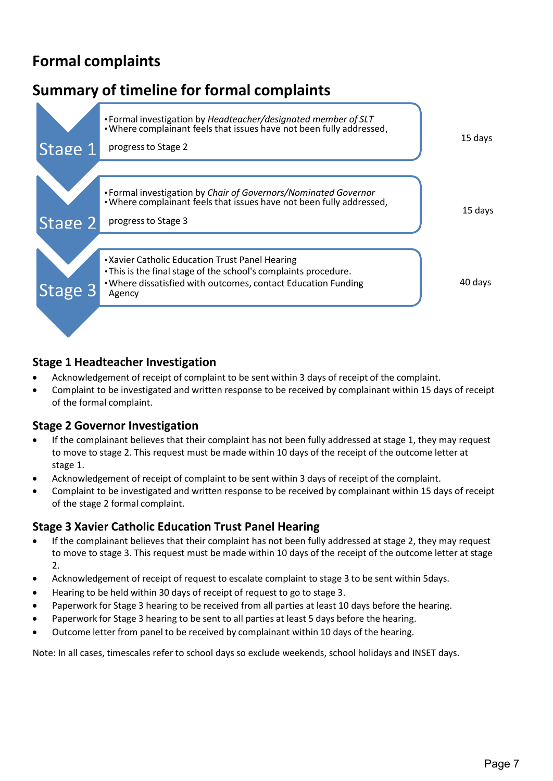# <span id="page-6-0"></span>**Formal complaints**

# <span id="page-6-1"></span>**Summary of timeline for formal complaints** 15 days 15 days 40 days • Formal investigation by *Headteacher/designated member of SLT* •Where complainant feels that issues have not been fully addressed, Stage 1 progress to Stage 2 • Formal investigation by *Chair of Governors/Nominated Governor* •Where complainant feels that issues have not been fully addressed, Stage 2 progress to Stage 3 Stage 3 Agency •Xavier Catholic Education Trust Panel Hearing •This is the final stage of the school's complaints procedure. •Where dissatisfied with outcomes, contact Education Funding

## **Stage 1 Headteacher Investigation**

- Acknowledgement of receipt of complaint to be sent within 3 days of receipt of the complaint.
- Complaint to be investigated and written response to be received by complainant within 15 days of receipt of the formal complaint.

### **Stage 2 Governor Investigation**

- If the complainant believes that their complaint has not been fully addressed at stage 1, they may request to move to stage 2. This request must be made within 10 days of the receipt of the outcome letter at stage 1.
- Acknowledgement of receipt of complaint to be sent within 3 days of receipt of the complaint.
- Complaint to be investigated and written response to be received by complainant within 15 days of receipt of the stage 2 formal complaint.

## **Stage 3 Xavier Catholic Education Trust Panel Hearing**

- If the complainant believes that their complaint has not been fully addressed at stage 2, they may request to move to stage 3. This request must be made within 10 days of the receipt of the outcome letter at stage 2.
- Acknowledgement of receipt of request to escalate complaint to stage 3 to be sent within 5days.
- Hearing to be held within 30 days of receipt of request to go to stage 3.
- Paperwork for Stage 3 hearing to be received from all parties at least 10 days before the hearing.
- Paperwork for Stage 3 hearing to be sent to all parties at least 5 days before the hearing.
- Outcome letter from panel to be received by complainant within 10 days of the hearing.

Note: In all cases, timescales refer to school days so exclude weekends, school holidays and INSET days.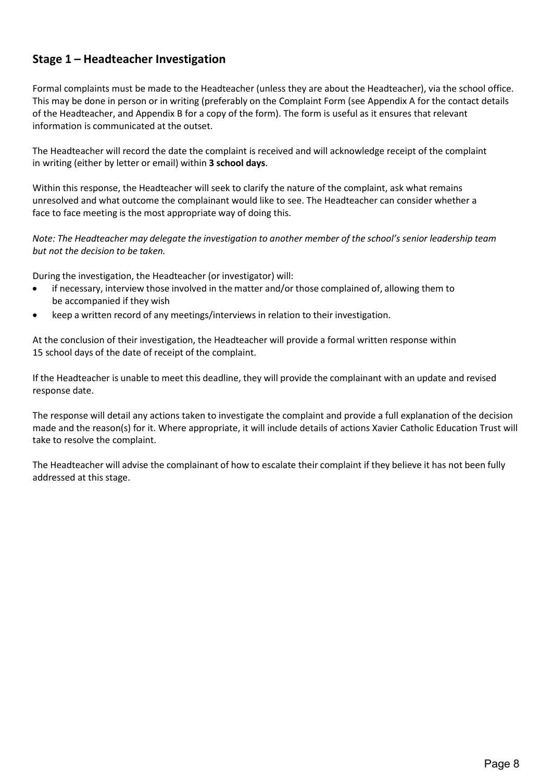## <span id="page-7-0"></span>**Stage 1 – Headteacher Investigation**

Formal complaints must be made to the Headteacher (unless they are about the Headteacher), via the school office. This may be done in person or in writing (preferably on the Complaint Form (see Appendix A for the contact details of the Headteacher, and Appendix B for a copy of the form). The form is useful as it ensures that relevant information is communicated at the outset.

The Headteacher will record the date the complaint is received and will acknowledge receipt of the complaint in writing (either by letter or email) within **3 school days**.

Within this response, the Headteacher will seek to clarify the nature of the complaint, ask what remains unresolved and what outcome the complainant would like to see. The Headteacher can consider whether a face to face meeting is the most appropriate way of doing this.

*Note: The Headteacher may delegate the investigation to another member of the school's senior leadership team but not the decision to be taken.*

During the investigation, the Headteacher (or investigator) will:

- if necessary, interview those involved in the matter and/or those complained of, allowing them to be accompanied if they wish
- keep a written record of any meetings/interviews in relation to their investigation.

At the conclusion of their investigation, the Headteacher will provide a formal written response within 15 school days of the date of receipt of the complaint.

If the Headteacher is unable to meet this deadline, they will provide the complainant with an update and revised response date.

The response will detail any actions taken to investigate the complaint and provide a full explanation of the decision made and the reason(s) for it. Where appropriate, it will include details of actions Xavier Catholic Education Trust will take to resolve the complaint.

The Headteacher will advise the complainant of how to escalate their complaint if they believe it has not been fully addressed at this stage.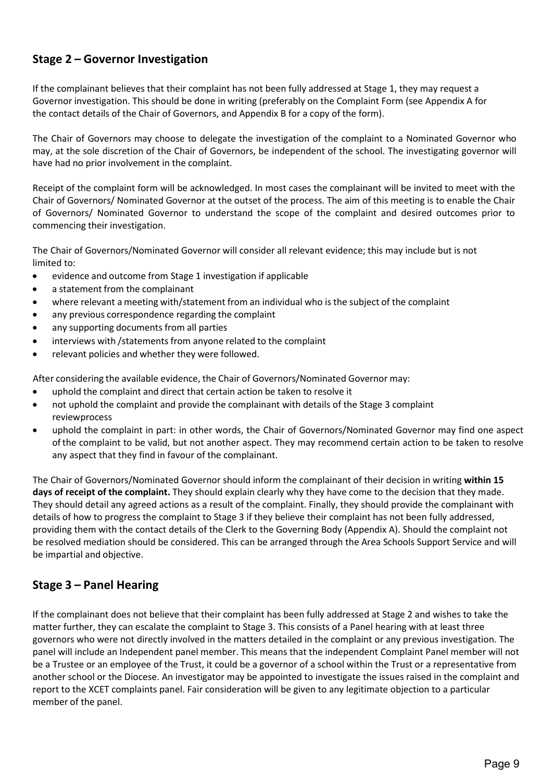## <span id="page-8-0"></span>**Stage 2 – Governor Investigation**

If the complainant believes that their complaint has not been fully addressed at Stage 1, they may request a Governor investigation. This should be done in writing (preferably on the Complaint Form (see Appendix A for the contact details of the Chair of Governors, and Appendix B for a copy of the form).

The Chair of Governors may choose to delegate the investigation of the complaint to a Nominated Governor who may, at the sole discretion of the Chair of Governors, be independent of the school. The investigating governor will have had no prior involvement in the complaint.

Receipt of the complaint form will be acknowledged. In most cases the complainant will be invited to meet with the Chair of Governors/ Nominated Governor at the outset of the process. The aim of this meeting is to enable the Chair of Governors/ Nominated Governor to understand the scope of the complaint and desired outcomes prior to commencing their investigation.

The Chair of Governors/Nominated Governor will consider all relevant evidence; this may include but is not limited to:

- evidence and outcome from Stage 1 investigation if applicable
- a statement from the complainant
- where relevant a meeting with/statement from an individual who is the subject of the complaint
- any previous correspondence regarding the complaint
- any supporting documents from all parties
- interviews with / statements from anyone related to the complaint
- relevant policies and whether they were followed.

After considering the available evidence, the Chair of Governors/Nominated Governor may:

- uphold the complaint and direct that certain action be taken to resolve it
- not uphold the complaint and provide the complainant with details of the Stage 3 complaint reviewprocess
- uphold the complaint in part: in other words, the Chair of Governors/Nominated Governor may find one aspect ofthe complaint to be valid, but not another aspect. They may recommend certain action to be taken to resolve any aspect that they find in favour of the complainant.

The Chair of Governors/Nominated Governor should inform the complainant of their decision in writing **within 15 days of receipt of the complaint.** They should explain clearly why they have come to the decision that they made. They should detail any agreed actions as a result of the complaint. Finally, they should provide the complainant with details of how to progress the complaint to Stage 3 if they believe their complaint has not been fully addressed, providing them with the contact details of the Clerk to the Governing Body (Appendix A). Should the complaint not be resolved mediation should be considered. This can be arranged through the Area Schools Support Service and will be impartial and objective.

## <span id="page-8-1"></span>**Stage 3 – Panel Hearing**

If the complainant does not believe that their complaint has been fully addressed at Stage 2 and wishes to take the matter further, they can escalate the complaint to Stage 3. This consists of a Panel hearing with at least three governors who were not directly involved in the matters detailed in the complaint or any previous investigation. The panel will include an Independent panel member. This means that the independent Complaint Panel member will not be a Trustee or an employee of the Trust, it could be a governor of a school within the Trust or a representative from another school or the Diocese. An investigator may be appointed to investigate the issues raised in the complaint and report to the XCET complaints panel. Fair consideration will be given to any legitimate objection to a particular member of the panel.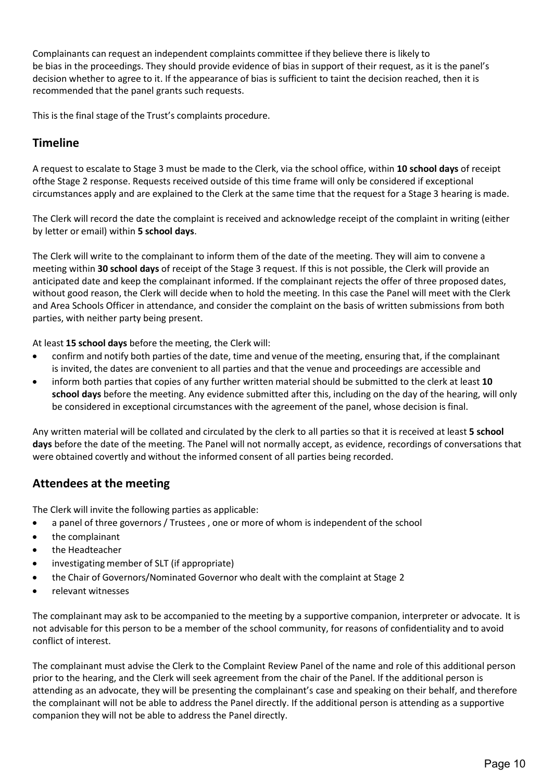Complainants can request an independent complaints committee if they believe there is likely to be [bias in the proceedings. T](https://www.gov.uk/government/publications/school-complaints-procedures/best-practice-advice-for-school-complaints-procedures-2019#bias-in-the-proceedings)hey should provide evidence of bias in support of their request, as it is the panel's decision whether to agree to it. If the appearance of bias is sufficient to taint the decision reached, then it is recommended that the panel grants such requests.

This is the final stage of the Trust's complaints procedure.

## **Timeline**

A request to escalate to Stage 3 must be made to the Clerk, via the school office, within **10 school days** of receipt ofthe Stage 2 response. Requests received outside of this time frame will only be considered if exceptional circumstances apply and are explained to the Clerk at the same time that the request for a Stage 3 hearing is made.

The Clerk will record the date the complaint is received and acknowledge receipt of the complaint in writing (either by letter or email) within **5 school days**.

The Clerk will write to the complainant to inform them of the date of the meeting. They will aim to convene a meeting within **30 school days** of receipt of the Stage 3 request. If this is not possible, the Clerk will provide an anticipated date and keep the complainant informed. If the complainant rejects the offer of three proposed dates, without good reason, the Clerk will decide when to hold the meeting. In this case the Panel will meet with the Clerk and Area Schools Officer in attendance, and consider the complaint on the basis of written submissions from both parties, with neither party being present.

At least **15 school days** before the meeting, the Clerk will:

- confirm and notify both parties of the date, time and venue of the meeting, ensuring that, if the complainant is invited, the dates are convenient to all parties and that the venue and proceedings are accessible and
- inform both parties that copies of any further written material should be submitted to the clerk at least **10 school days** before the meeting. Any evidence submitted after this, including on the day of the hearing, will only be considered in exceptional circumstances with the agreement of the panel, whose decision is final.

Any written material will be collated and circulated by the clerk to all parties so that it is received at least **5 school days** before the date of the meeting. The Panel will not normally accept, as evidence, recordings of conversations that were obtained covertly and without the informed consent of all parties being recorded.

## **Attendees at the meeting**

The Clerk will invite the following parties as applicable:

- a panel of three governors / Trustees , one or more of whom is independent of the school
- the complainant
- the Headteacher
- investigating member of SLT (if appropriate)
- the Chair of Governors/Nominated Governor who dealt with the complaint at Stage 2
- relevant witnesses

The complainant may ask to be accompanied to the meeting by a supportive companion, interpreter or advocate. It is not advisable for this person to be a member of the school community, for reasons of confidentiality and to avoid conflict of interest.

The complainant must advise the Clerk to the Complaint Review Panel of the name and role of this additional person prior to the hearing, and the Clerk will seek agreement from the chair of the Panel. If the additional person is attending as an advocate, they will be presenting the complainant's case and speaking on their behalf, and therefore the complainant will not be able to address the Panel directly. If the additional person is attending as a supportive companion they will not be able to address the Panel directly.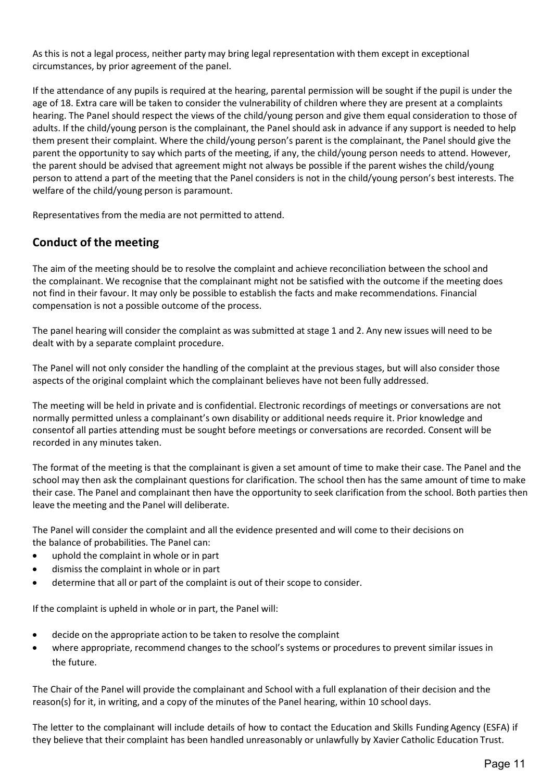As this is not a legal process, neither party may bring legal representation with them except in exceptional circumstances, by prior agreement of the panel.

If the attendance of any pupils is required at the hearing, parental permission will be sought if the pupil is under the age of 18. Extra care will be taken to consider the vulnerability of children where they are present at a complaints hearing. The Panel should respect the views of the child/young person and give them equal consideration to those of adults. If the child/young person is the complainant, the Panel should ask in advance if any support is needed to help them present their complaint. Where the child/young person's parent is the complainant, the Panel should give the parent the opportunity to say which parts of the meeting, if any, the child/young person needs to attend. However, the parent should be advised that agreement might not always be possible if the parent wishes the child/young person to attend a part of the meeting that the Panel considers is not in the child/young person's best interests. The welfare of the child/young person is paramount.

Representatives from the media are not permitted to attend.

## **Conduct of the meeting**

The aim of the meeting should be to resolve the complaint and achieve reconciliation between the school and the complainant. We recognise that the complainant might not be satisfied with the outcome if the meeting does not find in their favour. It may only be possible to establish the facts and make recommendations. Financial compensation is not a possible outcome of the process.

The panel hearing will consider the complaint as was submitted at stage 1 and 2. Any new issues will need to be dealt with by a separate complaint procedure.

The Panel will not only consider the handling of the complaint at the previous stages, but will also consider those aspects of the original complaint which the complainant believes have not been fully addressed.

The meeting will be held in private and is confidential. Electronic recordings of meetings or conversations are not normally permitted unless a complainant's own disability or additional needs require it. Prior knowledge and consentof all parties attending must be sought before meetings or conversations are recorded. Consent will be recorded in any minutes taken.

The format of the meeting is that the complainant is given a set amount of time to make their case. The Panel and the school may then ask the complainant questions for clarification. The school then has the same amount of time to make their case. The Panel and complainant then have the opportunity to seek clarification from the school. Both parties then leave the meeting and the Panel will deliberate.

The Panel will consider the complaint and all the evidence presented and will come to their decisions on the balance of probabilities. The Panel can:

- uphold the complaint in whole or in part
- dismiss the complaint in whole or in part
- determine that all or part of the complaint is out of their scope to consider.

If the complaint is upheld in whole or in part, the Panel will:

- decide on the appropriate action to be taken to resolve the complaint
- where appropriate, recommend changes to the school's systems or procedures to prevent similar issues in the future.

The Chair of the Panel will provide the complainant and School with a full explanation of their decision and the reason(s) for it, in writing, and a copy of the minutes of the Panel hearing, within 10 school days.

The letter to the complainant will include details of how to contact the Education and Skills Funding Agency (ESFA) if they believe that their complaint has been handled unreasonably or unlawfully by Xavier Catholic Education Trust.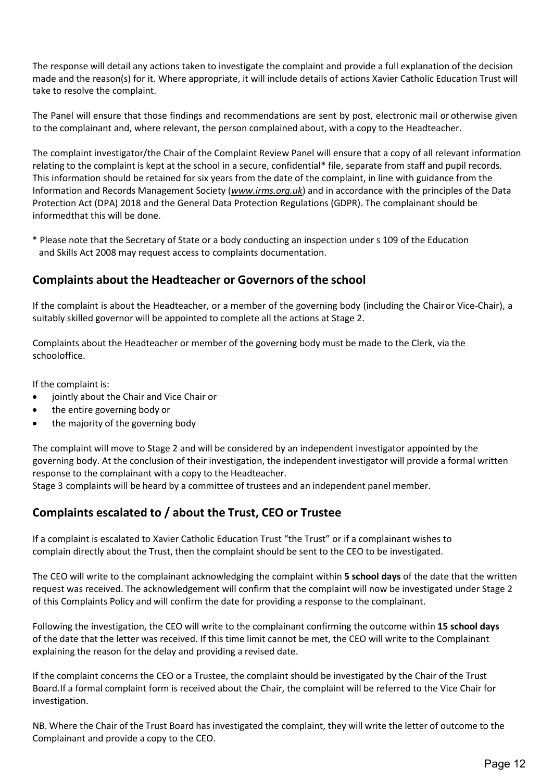The response will detail any actions taken to investigate the complaint and provide a full explanation of the decision made and the reason(s) for it. Where appropriate, it will include details of actions Xavier Catholic Education Trust will take to resolve the complaint.

The Panel will ensure that those findings and recommendations are sent by post, electronic mail or otherwise given to the complainant and, where relevant, the person complained about, with a copy to the Headteacher.

The complaint investigator/the Chair of the Complaint Review Panel will ensure that a copy of all relevant information relating to the complaint is kept at the school in a secure, confidential\* file, separate from staff and pupil records. This information should be retained for six years from the date of the complaint, in line with guidance from the Information and Records Management Society (*[www.irms.org.uk](http://www.irms.org.uk/)*) and in accordance with the principles of the Data Protection Act (DPA) 2018 and the General Data Protection Regulations (GDPR). The complainant should be informedthat this will be done.

\* Please note that the Secretary of State or a body conducting an inspection under s 109 of the Education and Skills Act 2008 may request access to complaints documentation.

### **Complaints about the Headteacher or Governors of the school**

If the complaint is about the Headteacher, or a member of the governing body (including the Chairor Vice-Chair), a suitably skilled governor will be appointed to complete all the actions at Stage 2.

Complaints about the Headteacher or member of the governing body must be made to the Clerk, via the schooloffice.

If the complaint is:

- jointly about the Chair and Vice Chair or
- the entire governing body or
- the majority of the governing body

The complaint will move to Stage 2 and will be considered by an independent investigator appointed by the governing body. At the conclusion of their investigation, the independent investigator will provide a formal written response to the complainant with a copy to the Headteacher.

Stage 3 complaints will be heard by a committee of trustees and an independent panel member.

### <span id="page-11-0"></span>**Complaints escalated to / about the Trust, CEO or Trustee**

If a complaint is escalated to Xavier Catholic Education Trust "the Trust" or if a complainant wishes to complain directly about the Trust, then the complaint should be sent to the CEO to be investigated.

The CEO will write to the complainant acknowledging the complaint within **5 school days** of the date that the written request was received. The acknowledgement will confirm that the complaint will now be investigated under Stage 2 of this Complaints Policy and will confirm the date for providing a response to the complainant.

Following the investigation, the CEO will write to the complainant confirming the outcome within **15 school days**  of the date that the letter was received. If this time limit cannot be met, the CEO will write to the Complainant explaining the reason for the delay and providing a revised date.

If the complaint concerns the CEO or a Trustee, the complaint should be investigated by the Chair of the Trust Board.If a formal complaint form is received about the Chair, the complaint will be referred to the Vice Chair for investigation.

NB. Where the Chair of the Trust Board has investigated the complaint, they will write the letter of outcome to the Complainant and provide a copy to the CEO.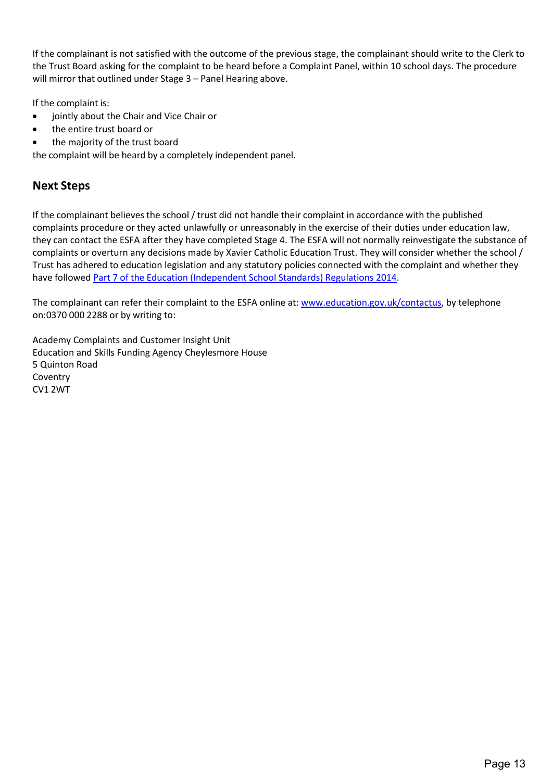If the complainant is not satisfied with the outcome of the previous stage, the complainant should write to the Clerk to the Trust Board asking for the complaint to be heard before a Complaint Panel, within 10 school days. The procedure will mirror that outlined under Stage 3 – Panel Hearing above.

If the complaint is:

- jointly about the Chair and Vice Chair or
- the entire trust board or
- the majority of the trust board

the complaint will be heard by a completely independent panel.

## <span id="page-12-0"></span>**Next Steps**

If the complainant believes the school / trust did not handle their complaint in accordance with the published complaints procedure or they acted unlawfully or unreasonably in the exercise of their duties under education law, they can contact the ESFA after they have completed Stage 4. The ESFA will not normally reinvestigate the substance of complaints or overturn any decisions made by Xavier Catholic Education Trust. They will consider whether the school / Trust has adhered to education legislation and any statutory policies connected with the complaint and whether they have followed Part 7 of the Education (Independent School Standards) [Regulations 2014.](http://www.legislation.gov.uk/uksi/2010/1997/schedule/1/made)

The complainant can refer their complaint to the ESFA online at: [www.education.gov.uk/contactus,](http://www.education.gov.uk/contactus) by telephone on:0370 000 2288 or by writing to:

Academy Complaints and Customer Insight Unit Education and Skills Funding Agency Cheylesmore House 5 Quinton Road Coventry CV1 2WT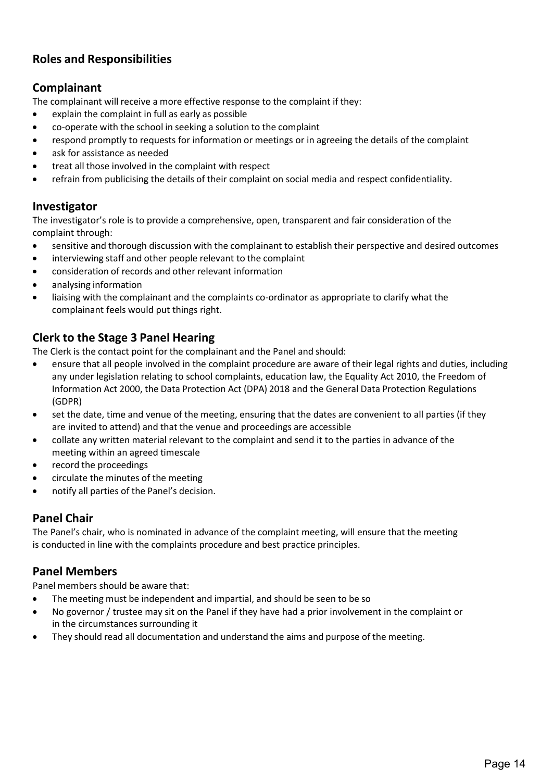## <span id="page-13-0"></span>**Roles and Responsibilities**

## **Complainant**

The complainant will receive a more effective response to the complaint if they:

- explain the complaint in full as early as possible
- co-operate with the school in seeking a solution to the complaint
- respond promptly to requests for information or meetings or in agreeing the details of the complaint
- ask for assistance as needed
- treat all those involved in the complaint with respect
- refrain from publicising the details of their complaint on social media and respect confidentiality.

### **Investigator**

The investigator's role is to provide a comprehensive, open, transparent and fair consideration of the complaint through:

- sensitive and thorough discussion with the complainant to establish their perspective and desired outcomes
- interviewing staff and other people relevant to the complaint
- consideration of records and other relevant information
- analysing information
- liaising with the complainant and the complaints co-ordinator as appropriate to clarify what the complainant feels would put things right.

## **Clerk to the Stage 3 Panel Hearing**

The Clerk is the contact point for the complainant and the Panel and should:

- ensure that all people involved in the complaint procedure are aware of their legal rights and duties, including any under legislation relating to school complaints, education law, the Equality Act 2010, the Freedom of Information Act 2000, the Data Protection Act (DPA) 2018 and the General Data Protection Regulations (GDPR)
- set the date, time and venue of the meeting, ensuring that the dates are convenient to all parties (if they are invited to attend) and that the venue and proceedings are accessible
- collate any written material relevant to the complaint and send it to the parties in advance of the meeting within an agreed timescale
- record the proceedings
- circulate the minutes of the meeting
- notify all parties of the Panel's decision.

### **Panel Chair**

The Panel's chair, who is nominated in advance of the complaint meeting, will ensure that the meeting is conducted in line with the complaints procedure and best practice principles.

## **Panel Members**

Panel members should be aware that:

- The meeting must be independent and impartial, and should be seen to be so
- No governor / trustee may sit on the Panel if they have had a prior involvement in the complaint or in the circumstances surrounding it
- They should read all documentation and understand the aims and purpose of the meeting.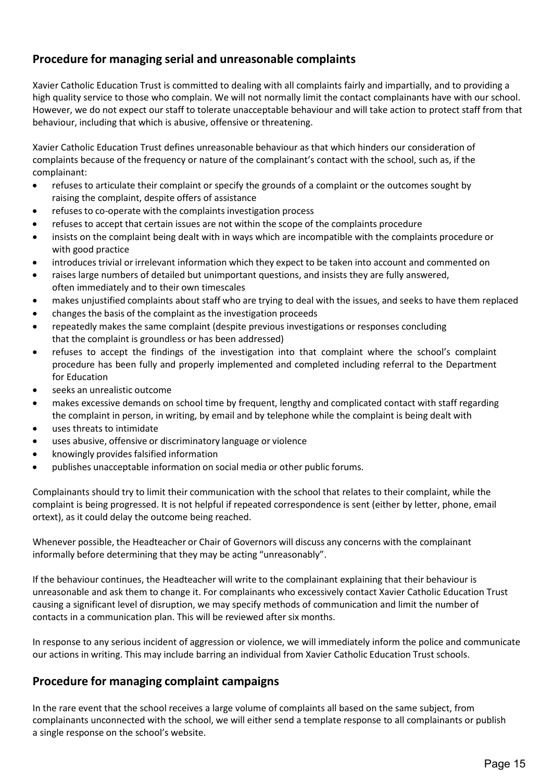## <span id="page-14-0"></span>**Procedure for managing serial and unreasonable complaints**

Xavier Catholic Education Trust is committed to dealing with all complaints fairly and impartially, and to providing a high quality service to those who complain. We will not normally limit the contact complainants have with our school. However, we do not expect our staff to tolerate unacceptable behaviour and will take action to protect staff from that behaviour, including that which is abusive, offensive or threatening.

Xavier Catholic Education Trust defines unreasonable behaviour as that which hinders our consideration of complaints because of the frequency or nature of the complainant's contact with the school, such as, if the complainant:

- refuses to articulate their complaint or specify the grounds of a complaint or the outcomes sought by raising the complaint, despite offers of assistance
- refuses to co-operate with the complaints investigation process
- refuses to accept that certain issues are not within the scope of the complaints procedure
- insists on the complaint being dealt with in ways which are incompatible with the complaints procedure or with good practice
- introduces trivial or irrelevant information which they expect to be taken into account and commented on
- raises large numbers of detailed but unimportant questions, and insists they are fully answered, often immediately and to their own timescales
- makes unjustified complaints about staff who are trying to deal with the issues, and seeks to have them replaced
- changes the basis of the complaint as the investigation proceeds
- repeatedly makes the same complaint (despite previous investigations or responses concluding that the complaint is groundless or has been addressed)
- refuses to accept the findings of the investigation into that complaint where the school's complaint procedure has been fully and properly implemented and completed including referral to the Department for Education
- seeks an unrealistic outcome
- makes excessive demands on school time by frequent, lengthy and complicated contact with staff regarding the complaint in person, in writing, by email and by telephone while the complaint is being dealt with
- uses threats to intimidate
- uses abusive, offensive or discriminatory language or violence
- knowingly provides falsified information
- publishes unacceptable information on social media or other public forums.

Complainants should try to limit their communication with the school that relates to their complaint, while the complaint is being progressed. It is not helpful if repeated correspondence is sent (either by letter, phone, email ortext), as it could delay the outcome being reached.

Whenever possible, the Headteacher or Chair of Governors will discuss any concerns with the complainant informally before determining that they may be acting "unreasonably".

If the behaviour continues, the Headteacher will write to the complainant explaining that their behaviour is unreasonable and ask them to change it. For complainants who excessively contact Xavier Catholic Education Trust causing a significant level of disruption, we may specify methods of communication and limit the number of contacts in a communication plan. This will be reviewed after six months.

In response to any serious incident of aggression or violence, we will immediately inform the police and communicate our actions in writing. This may include barring an individual from Xavier Catholic Education Trust schools.

### <span id="page-14-1"></span>**Procedure for managing complaint campaigns**

In the rare event that the school receives a large volume of complaints all based on the same subject, from complainants unconnected with the school, we will either send a template response to all complainants or publish a single response on the school's website.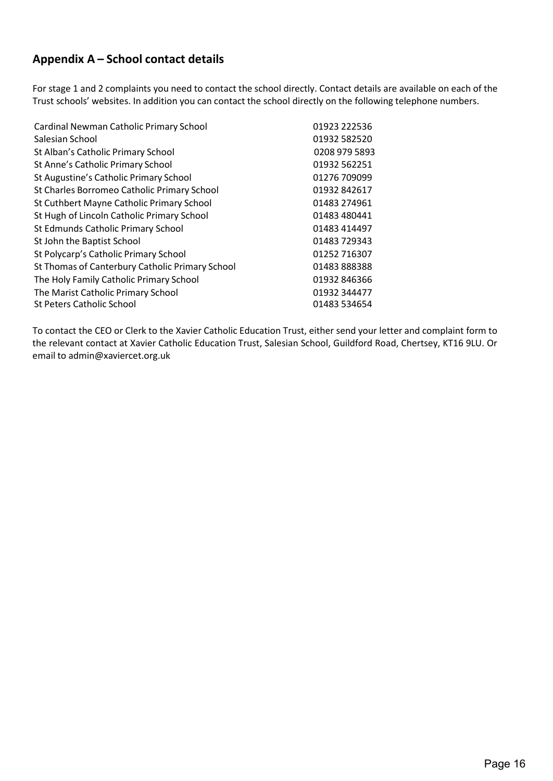## <span id="page-15-0"></span>**Appendix A – School contact details**

For stage 1 and 2 complaints you need to contact the school directly. Contact details are available on each of the Trust schools' websites. In addition you can contact the school directly on the following telephone numbers.

| Cardinal Newman Catholic Primary School         | 01923 222536  |
|-------------------------------------------------|---------------|
| Salesian School                                 | 01932 582520  |
| St Alban's Catholic Primary School              | 0208 979 5893 |
| St Anne's Catholic Primary School               | 01932 562251  |
| St Augustine's Catholic Primary School          | 01276 709099  |
| St Charles Borromeo Catholic Primary School     | 01932 842617  |
| St Cuthbert Mayne Catholic Primary School       | 01483 274961  |
| St Hugh of Lincoln Catholic Primary School      | 01483 480441  |
| St Edmunds Catholic Primary School              | 01483 414497  |
| St John the Baptist School                      | 01483 729343  |
| St Polycarp's Catholic Primary School           | 01252 716307  |
| St Thomas of Canterbury Catholic Primary School | 01483888388   |
| The Holy Family Catholic Primary School         | 01932 846366  |
| The Marist Catholic Primary School              | 01932 344477  |
| <b>St Peters Catholic School</b>                | 01483 534654  |

To contact the CEO or Clerk to the Xavier Catholic Education Trust, either send your letter and complaint form to the relevant contact at Xavier Catholic Education Trust, Salesian School, Guildford Road, Chertsey, KT16 9LU. Or email to [admin@xaviercet.org.uk](mailto:admin@xaviercet.org.uk)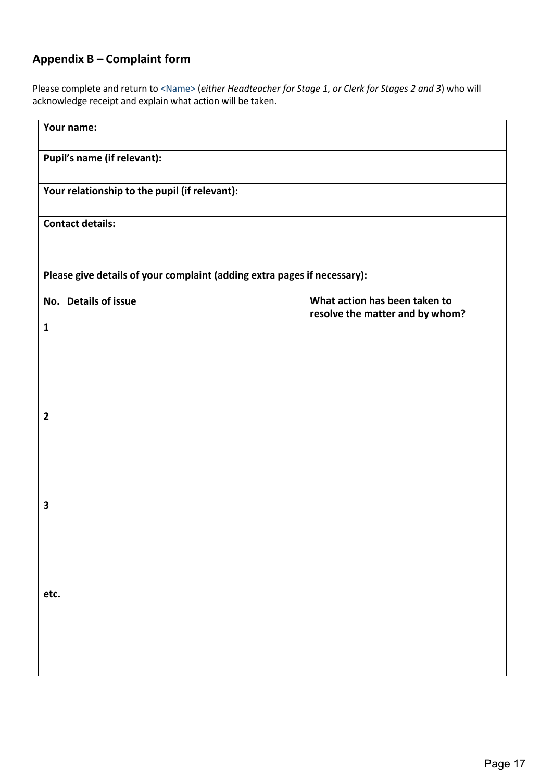# <span id="page-16-0"></span>**Appendix B – Complaint form**

Please complete and return to <Name> (*either Headteacher for Stage 1, or Clerk for Stages 2 and 3*) who will acknowledge receipt and explain what action will be taken.

|                                                                          | Your name:       |                                                                  |  |  |  |  |
|--------------------------------------------------------------------------|------------------|------------------------------------------------------------------|--|--|--|--|
| Pupil's name (if relevant):                                              |                  |                                                                  |  |  |  |  |
| Your relationship to the pupil (if relevant):                            |                  |                                                                  |  |  |  |  |
| <b>Contact details:</b>                                                  |                  |                                                                  |  |  |  |  |
| Please give details of your complaint (adding extra pages if necessary): |                  |                                                                  |  |  |  |  |
| No.                                                                      | Details of issue | What action has been taken to<br>resolve the matter and by whom? |  |  |  |  |
| $\mathbf{1}$                                                             |                  |                                                                  |  |  |  |  |
| $\overline{\mathbf{2}}$                                                  |                  |                                                                  |  |  |  |  |
| $\overline{\mathbf{3}}$                                                  |                  |                                                                  |  |  |  |  |
| etc.                                                                     |                  |                                                                  |  |  |  |  |